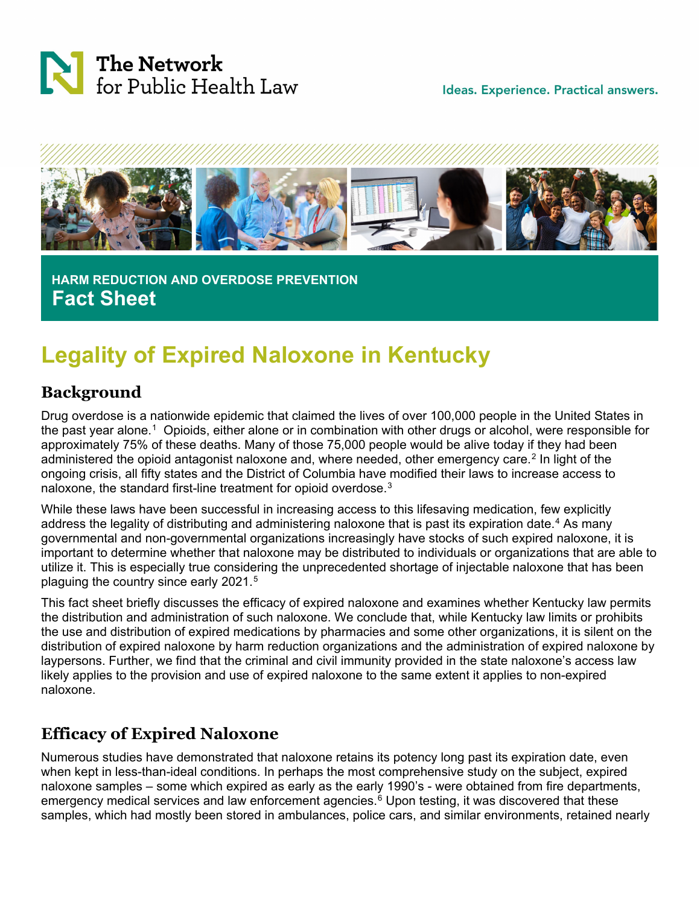

Ideas. Experience. Practical answers.



 **HARM REDUCTION AND OVERDOSE PREVENTION Fact Sheet**

# **Legality of Expired Naloxone in Kentucky**

### **Background**

Drug overdose is a nationwide epidemic that claimed the lives of over 100,000 people in the United States in the past year alone.[1](#page-2-0) Opioids, either alone or in combination with other drugs or alcohol, were responsible for approximately 75% of these deaths. Many of those 75,000 people would be alive today if they had been administered the opioid antagonist naloxone and, where needed, other emergency care.<sup>[2](#page-2-1)</sup> In light of the ongoing crisis, all fifty states and the District of Columbia have modified their laws to increase access to naloxone, the standard first-line treatment for opioid overdose.<sup>[3](#page-2-2)</sup>

While these laws have been successful in increasing access to this lifesaving medication, few explicitly address the legality of distributing and administering naloxone that is past its expiration date.<sup>[4](#page-2-3)</sup> As many governmental and non-governmental organizations increasingly have stocks of such expired naloxone, it is important to determine whether that naloxone may be distributed to individuals or organizations that are able to utilize it. This is especially true considering the unprecedented shortage of injectable naloxone that has been plaguing the country since early 2021.<sup>[5](#page-2-4)</sup>

This fact sheet briefly discusses the efficacy of expired naloxone and examines whether Kentucky law permits the distribution and administration of such naloxone. We conclude that, while Kentucky law limits or prohibits the use and distribution of expired medications by pharmacies and some other organizations, it is silent on the distribution of expired naloxone by harm reduction organizations and the administration of expired naloxone by laypersons. Further, we find that the criminal and civil immunity provided in the state naloxone's access law likely applies to the provision and use of expired naloxone to the same extent it applies to non-expired naloxone.

# **Efficacy of Expired Naloxone**

Numerous studies have demonstrated that naloxone retains its potency long past its expiration date, even when kept in less-than-ideal conditions. In perhaps the most comprehensive study on the subject, expired naloxone samples – some which expired as early as the early 1990's - were obtained from fire departments, emergency medical services and law enforcement agencies. $6$  Upon testing, it was discovered that these samples, which had mostly been stored in ambulances, police cars, and similar environments, retained nearly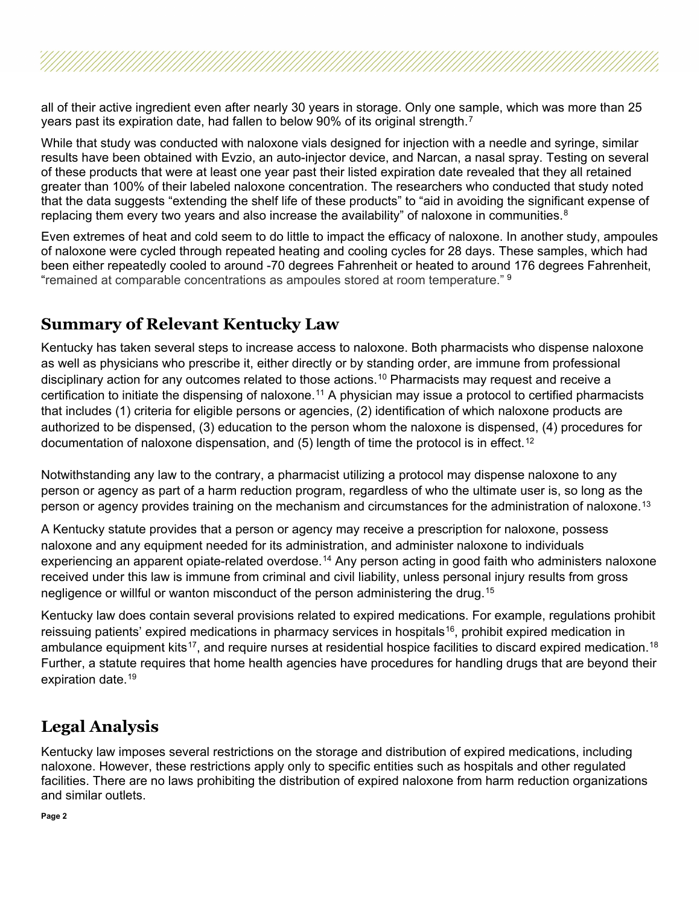all of their active ingredient even after nearly 30 years in storage. Only one sample, which was more than 25 years past its expiration date, had fallen to below 90% of its original strength.[7](#page-3-0) 

While that study was conducted with naloxone vials designed for injection with a needle and syringe, similar results have been obtained with Evzio, an auto-injector device, and Narcan, a nasal spray. Testing on several of these products that were at least one year past their listed expiration date revealed that they all retained greater than 100% of their labeled naloxone concentration. The researchers who conducted that study noted that the data suggests "extending the shelf life of these products" to "aid in avoiding the significant expense of replacing them every two years and also increase the availability" of naloxone in communities.<sup>[8](#page-3-1)</sup>

Even extremes of heat and cold seem to do little to impact the efficacy of naloxone. In another study, ampoules of naloxone were cycled through repeated heating and cooling cycles for 28 days. These samples, which had been either repeatedly cooled to around -70 degrees Fahrenheit or heated to around 176 degrees Fahrenheit, "remained at comparable concentrations as ampoules stored at room temperature." <sup>[9](#page-3-2)</sup>

#### **Summary of Relevant Kentucky Law**

Kentucky has taken several steps to increase access to naloxone. Both pharmacists who dispense naloxone as well as physicians who prescribe it, either directly or by standing order, are immune from professional disciplinary action for any outcomes related to those actions.<sup>[10](#page-3-3)</sup> Pharmacists may request and receive a certification to initiate the dispensing of naloxone.<sup>[11](#page-3-4)</sup> A physician may issue a protocol to certified pharmacists that includes (1) criteria for eligible persons or agencies, (2) identification of which naloxone products are authorized to be dispensed, (3) education to the person whom the naloxone is dispensed, (4) procedures for documentation of naloxone dispensation, and  $(5)$  length of time the protocol is in effect.<sup>[12](#page-3-5)</sup>

Notwithstanding any law to the contrary, a pharmacist utilizing a protocol may dispense naloxone to any person or agency as part of a harm reduction program, regardless of who the ultimate user is, so long as the person or agency provides training on the mechanism and circumstances for the administration of naloxone.<sup>[13](#page-3-6)</sup>

A Kentucky statute provides that a person or agency may receive a prescription for naloxone, possess naloxone and any equipment needed for its administration, and administer naloxone to individuals experiencing an apparent opiate-related overdose.<sup>[14](#page-3-7)</sup> Any person acting in good faith who administers naloxone received under this law is immune from criminal and civil liability, unless personal injury results from gross negligence or willful or wanton misconduct of the person administering the drug.[15](#page-3-8) 

Kentucky law does contain several provisions related to expired medications. For example, regulations prohibit reissuing patients' expired medications in pharmacy services in hospitals<sup>16</sup>, prohibit expired medication in ambulance equipment kits<sup>[17](#page-3-10)</sup>, and require nurses at residential hospice facilities to discard expired medication.<sup>[18](#page-3-11)</sup> Further, a statute requires that home health agencies have procedures for handling drugs that are beyond their expiration date.<sup>19</sup>

# **Legal Analysis**

Kentucky law imposes several restrictions on the storage and distribution of expired medications, including naloxone. However, these restrictions apply only to specific entities such as hospitals and other regulated facilities. There are no laws prohibiting the distribution of expired naloxone from harm reduction organizations and similar outlets.

**Page 2**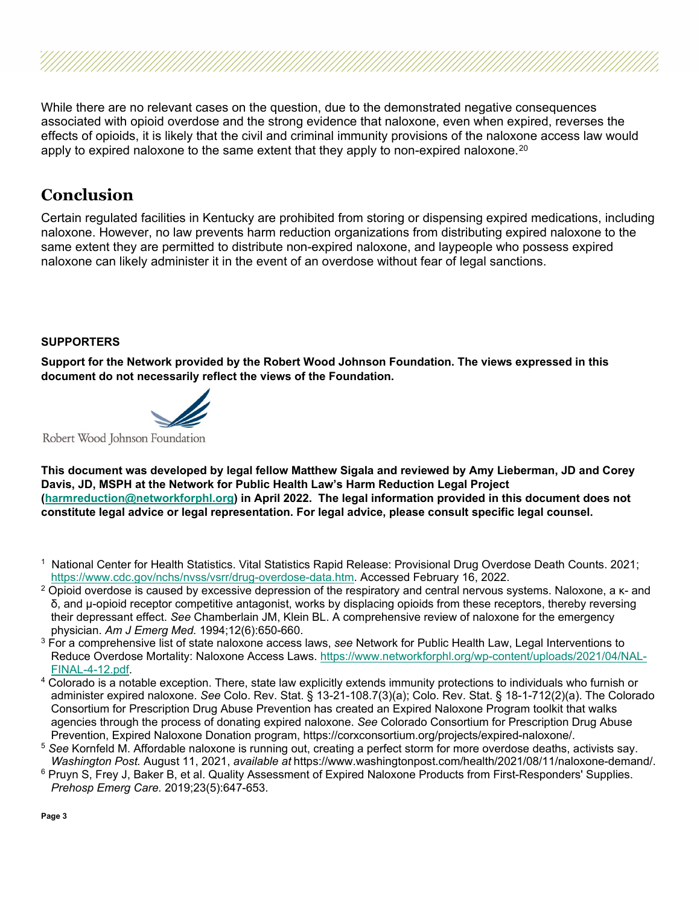While there are no relevant cases on the question, due to the demonstrated negative consequences associated with opioid overdose and the strong evidence that naloxone, even when expired, reverses the effects of opioids, it is likely that the civil and criminal immunity provisions of the naloxone access law would apply to expired naloxone to the same extent that they apply to non-expired naloxone.<sup>[20](#page-3-13)</sup>

#### **Conclusion**

Certain regulated facilities in Kentucky are prohibited from storing or dispensing expired medications, including naloxone. However, no law prevents harm reduction organizations from distributing expired naloxone to the same extent they are permitted to distribute non-expired naloxone, and laypeople who possess expired naloxone can likely administer it in the event of an overdose without fear of legal sanctions.

#### **SUPPORTERS**

**Support for the Network provided by the Robert Wood Johnson Foundation. The views expressed in this document do not necessarily reflect the views of the Foundation.**



Robert Wood Johnson Foundation

**This document was developed by legal fellow Matthew Sigala and reviewed by Amy Lieberman, JD and Corey Davis, JD, MSPH at the Network for Public Health Law's Harm Reduction Legal Project [\(harmreduction@networkforphl.org\)](mailto:harmreduction@networkforphl.org) in April 2022. The legal information provided in this document does not constitute legal advice or legal representation. For legal advice, please consult specific legal counsel.**

- <span id="page-2-0"></span><sup>1</sup> National Center for Health Statistics. Vital Statistics Rapid Release: Provisional Drug Overdose Death Counts. 2021; [https://www.cdc.gov/nchs/nvss/vsrr/drug-overdose-data.htm.](https://www.cdc.gov/nchs/nvss/vsrr/drug-overdose-data.htm) Accessed February 16, 2022.
- <span id="page-2-1"></span> $2$  Opioid overdose is caused by excessive depression of the respiratory and central nervous systems. Naloxone, a κ- and δ, and μ-opioid receptor competitive antagonist, works by displacing opioids from these receptors, thereby reversing their depressant effect. *See* Chamberlain JM, Klein BL. A comprehensive review of naloxone for the emergency physician. *Am J Emerg Med.* 1994;12(6):650-660.
- <span id="page-2-2"></span><sup>3</sup> For a comprehensive list of state naloxone access laws, *see* Network for Public Health Law, Legal Interventions to Reduce Overdose Mortality: Naloxone Access Laws. [https://www.networkforphl.org/wp-content/uploads/2021/04/NAL-](https://www.networkforphl.org/wp-content/uploads/2021/04/NAL-FINAL-4-12.pdf)[FINAL-4-12.pdf.](https://www.networkforphl.org/wp-content/uploads/2021/04/NAL-FINAL-4-12.pdf)
- <span id="page-2-3"></span><sup>4</sup> Colorado is a notable exception. There, state law explicitly extends immunity protections to individuals who furnish or administer expired naloxone. *See* Colo. Rev. Stat. § 13-21-108.7(3)(a); Colo. Rev. Stat. § 18-1-712(2)(a). The Colorado Consortium for Prescription Drug Abuse Prevention has created an Expired Naloxone Program toolkit that walks agencies through the process of donating expired naloxone. *See* Colorado Consortium for Prescription Drug Abuse Prevention, Expired Naloxone Donation program, https://corxconsortium.org/projects/expired-naloxone/.
- <span id="page-2-4"></span><sup>5</sup> *See* Kornfeld M. Affordable naloxone is running out, creating a perfect storm for more overdose deaths, activists say.
- <span id="page-2-5"></span><sup>6</sup> Pruyn S, Frey J, Baker B, et al. Quality Assessment of Expired Naloxone Products from First-Responders' Supplies. *Prehosp Emerg Care.* 2019;23(5):647-653.

**Page 3**